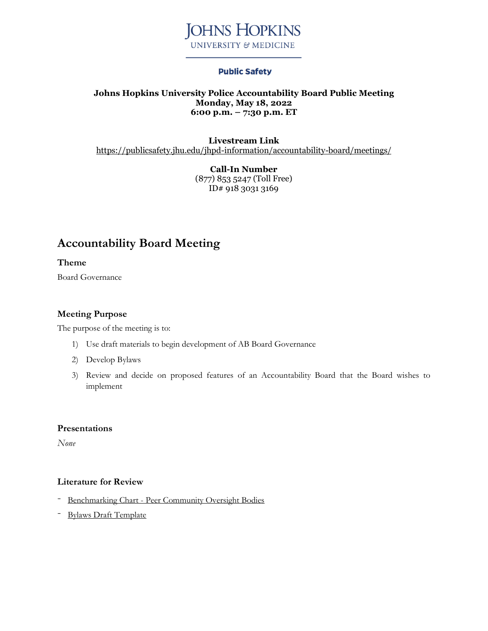

## **Public Safety**

#### **Johns Hopkins University Police Accountability Board Public Meeting Monday, May 18, 2022 6:00 p.m. – 7:30 p.m. ET**

**Livestream Link** <https://publicsafety.jhu.edu/jhpd-information/accountability-board/meetings/>

> **Call-In Number** (877) 853 5247 (Toll Free) ID# 918 3031 3169

# **Accountability Board Meeting**

**Theme**

Board Governance

## **Meeting Purpose**

The purpose of the meeting is to:

- 1) Use draft materials to begin development of AB Board Governance
- 2) Develop Bylaws
- 3) Review and decide on proposed features of an Accountability Board that the Board wishes to implement

#### **Presentations**

*None*

#### **Literature for Review**

- [Benchmarking](https://publicsafety.jhu.edu/assets/uploads/sites/9/2022/03/Benchmarking-Peer-Oversight-Bodies-03.11.2022.pdf) Chart Peer Community Oversight Bodies
- Bylaws Draft [Template](https://publicsafety.jhu.edu/assets/uploads/sites/9/2022/05/Accountability-Board-Bylaws-Template-04.21.2022-CLEAN.docx)